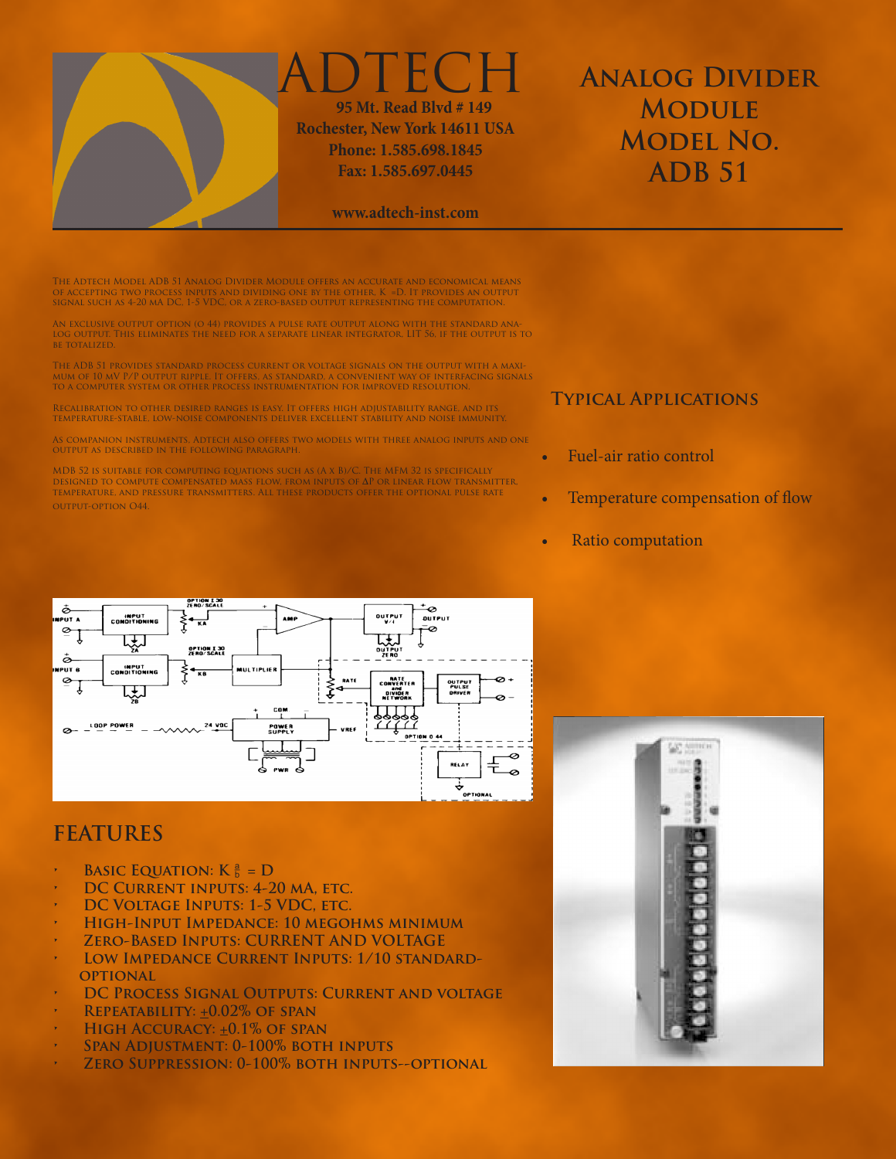

## DTECH  **95 Mt. Read Blvd # 149 Rochester, New York 14611 USA Phone: 1.585.698.1845 Fax: 1.585.697.0445**

#### **www.adtech-inst.com**

# **Analog Divider Module Model No. ADB 51**

The Adtech Model ADB 51 Analog Divider Module offers an accurate and economical means<br>of accepting two process inputs and dividing one by the other, K =D. It provides an output<br>signal such as 4-20 mA DC, 1-5 VDC, or a zero

An exclusive output option (o 44) provides a pulse rate output along with the standard ana-log output. This eliminates the need for a separate linear integrator, LIT 56, if the output is to be totalized.

THE ADB 51 PROVIDES STANDARD PROCESS CURRENT OR VOLTAGE SIGNALS ON THE OUTPUT WITH A MAXI-<br>Mum of 10 mV P/P output ripple. It offers, as standard, a convenient way of interfacing signals<br>to a computer system or other proce

Recalibration to other desired ranges is easy. It offers high adjustability range, and its temperature-stable, low-noise components deliver excellent stability and noise immunity.

As companion instruments, Adtech also offers two models with three analog inputs and one output as described in the following paragraph.

MDB 52 is suitable for computing equations such as (A x B)/C. The MFM 32 is specifically DESIGNED TO COMPUTE COMPENSATED MASS FLOW, FROM INPUTS OF ΔP OR LINEAR FLOW TRANSMITTER,<br>Temperature, and pressure transmitters. All these products offer the optional pulse rate output-option O44.

#### **Typical Applications**

- Fuel-air ratio control
- Temperature compensation of flow
- **Ratio computation**



### **FEATURES**

- **BASIC EQUATION:**  $K = D$
- **DC CURRENT INPUTS: 4-20 MA, ETC.**
- **DC VOLTAGE INPUTS: 1-5 VDC, ETC.**
- **• High-Input Impedance: 10 megohms minimum**
- **• Zero-Based Inputs: CURRENT AND VOLTAGE**
- LOW IMPEDANCE CURRENT INPUTS: 1/10 STANDARD-**OPTIONAL**
- **DC PROCESS SIGNAL OUTPUTS: CURRENT AND VOLTAGE**
- **•** REPEATABILITY:  $\pm 0.02\%$  OF SPAN
- **HIGH ACCURACY: +0.1% OF SPAN**
- **• Span Adjustment: 0-100% both inputs**
- *ZERO SUPPRESSION: 0-100% BOTH INPUTS--OPTIONAL*